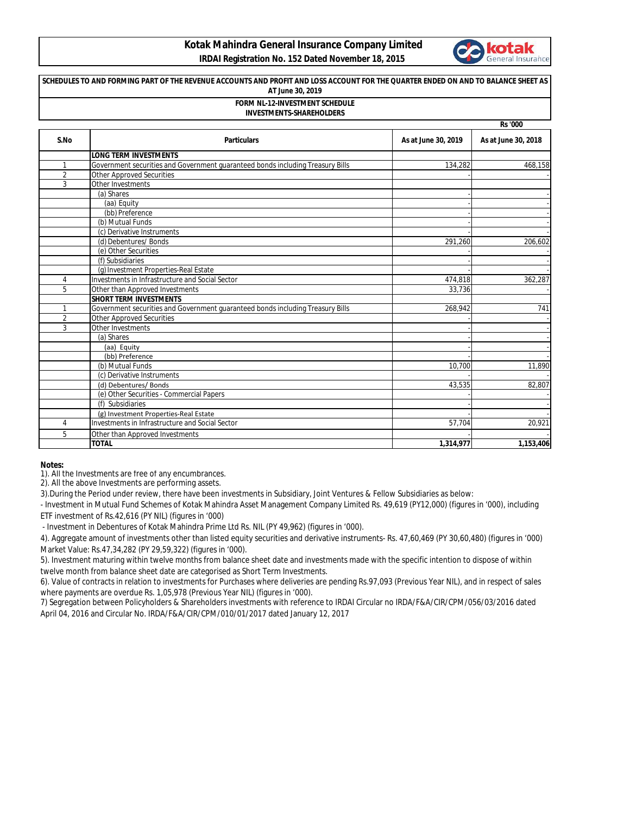## **Kotak Mahindra General Insurance Company Limited IRDAI Registration No. 152 Dated November 18, 2015**



## **SCHEDULES TO AND FORMING PART OF THE REVENUE ACCOUNTS AND PROFIT AND LOSS ACCOUNT FOR THE QUARTER ENDED ON AND TO BALANCE SHEET AS AT June 30, 2019 FORM NL-12-INVESTMENT SCHEDULE**

**INVESTMENTS-SHAREHOLDERS**

|                |                                                                                |                     | Rs '000             |
|----------------|--------------------------------------------------------------------------------|---------------------|---------------------|
| S.No           | <b>Particulars</b>                                                             | As at June 30, 2019 | As at June 30, 2018 |
|                | <b>LONG TERM INVESTMENTS</b>                                                   |                     |                     |
|                | Government securities and Government quaranteed bonds including Treasury Bills | 134,282             | 468,158             |
| $\overline{2}$ | <b>Other Approved Securities</b>                                               |                     |                     |
| 3              | Other Investments                                                              |                     |                     |
|                | (a) Shares                                                                     |                     |                     |
|                | (aa) Equity                                                                    |                     |                     |
|                | (bb) Preference                                                                |                     |                     |
|                | (b) Mutual Funds                                                               |                     |                     |
|                | (c) Derivative Instruments                                                     |                     |                     |
|                | (d) Debentures/ Bonds                                                          | 291,260             | 206,602             |
|                | (e) Other Securities                                                           |                     |                     |
|                | (f) Subsidiaries                                                               |                     |                     |
|                | (g) Investment Properties-Real Estate                                          |                     |                     |
| 4              | Investments in Infrastructure and Social Sector                                | 474,818             | 362,287             |
| 5              | Other than Approved Investments                                                | 33,736              |                     |
|                | <b>SHORT TERM INVESTMENTS</b>                                                  |                     |                     |
| 1              | Government securities and Government quaranteed bonds including Treasury Bills | 268.942             | 741                 |
| $\overline{2}$ | <b>Other Approved Securities</b>                                               |                     |                     |
| $\overline{3}$ | Other Investments                                                              |                     |                     |
|                | (a) Shares                                                                     |                     |                     |
|                | (aa) Equity                                                                    |                     |                     |
|                | (bb) Preference                                                                |                     |                     |
|                | (b) Mutual Funds                                                               | 10,700              | 11,890              |
|                | (c) Derivative Instruments                                                     |                     |                     |
|                | (d) Debentures/ Bonds                                                          | 43,535              | 82,807              |
|                | (e) Other Securities - Commercial Papers                                       |                     |                     |
|                | (f) Subsidiaries                                                               |                     |                     |
|                | (g) Investment Properties-Real Estate                                          |                     |                     |
| 4              | Investments in Infrastructure and Social Sector                                | 57,704              | 20,921              |
| 5              | Other than Approved Investments                                                |                     |                     |
|                | <b>TOTAL</b>                                                                   | 1,314,977           | 1,153,406           |

**Notes:**

1). All the Investments are free of any encumbrances.

2). All the above Investments are performing assets.

3).During the Period under review, there have been investments in Subsidiary, Joint Ventures & Fellow Subsidiaries as below:

- Investment in Mutual Fund Schemes of Kotak Mahindra Asset Management Company Limited Rs. 49,619 (PY12,000) (figures in '000), including ETF investment of Rs.42,616 (PY NIL) (figures in '000)

- Investment in Debentures of Kotak Mahindra Prime Ltd Rs. NIL (PY 49,962) (figures in '000).

4). Aggregate amount of investments other than listed equity securities and derivative instruments- Rs. 47,60,469 (PY 30,60,480) (figures in '000) Market Value: Rs.47,34,282 (PY 29,59,322) (figures in '000).

5). Investment maturing within twelve months from balance sheet date and investments made with the specific intention to dispose of within twelve month from balance sheet date are categorised as Short Term Investments.

6). Value of contracts in relation to investments for Purchases where deliveries are pending Rs.97,093 (Previous Year NIL), and in respect of sales where payments are overdue Rs. 1,05,978 (Previous Year NIL) (figures in '000).

7) Segregation between Policyholders & Shareholders investments with reference to IRDAI Circular no IRDA/F&A/CIR/CPM/056/03/2016 dated April 04, 2016 and Circular No. IRDA/F&A/CIR/CPM/010/01/2017 dated January 12, 2017